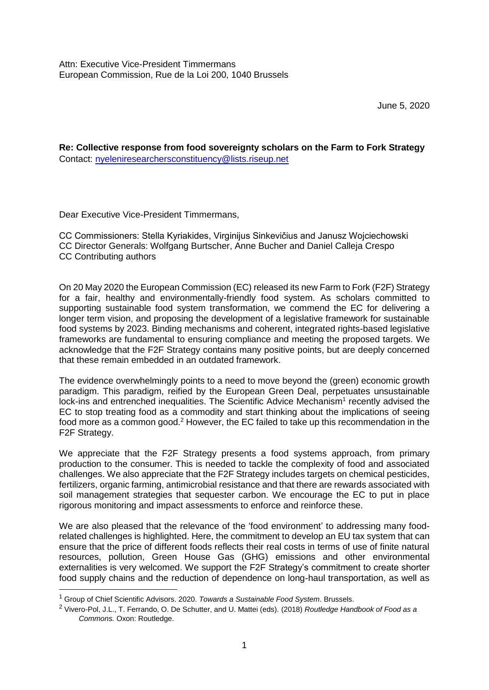June 5, 2020

**Re: Collective response from food sovereignty scholars on the Farm to Fork Strategy** Contact: [nyeleniresearchersconstituency@lists.riseup.net](mailto:nyeleniresearchersconstituency@lists.riseup.net)

Dear Executive Vice-President Timmermans,

CC Commissioners: Stella Kyriakides, Virginijus Sinkevičius and Janusz Wojciechowski CC Director Generals: Wolfgang Burtscher, Anne Bucher and Daniel Calleja Crespo CC Contributing authors

On 20 May 2020 the European Commission (EC) released its new Farm to Fork (F2F) Strategy for a fair, healthy and environmentally-friendly food system. As scholars committed to supporting sustainable food system transformation, we commend the EC for delivering a longer term vision, and proposing the development of a legislative framework for sustainable food systems by 2023. Binding mechanisms and coherent, integrated rights-based legislative frameworks are fundamental to ensuring compliance and meeting the proposed targets. We acknowledge that the F2F Strategy contains many positive points, but are deeply concerned that these remain embedded in an outdated framework.

The evidence overwhelmingly points to a need to move beyond the (green) economic growth paradigm. This paradigm, reified by the European Green Deal, perpetuates unsustainable lock-ins and entrenched inequalities. The Scientific Advice Mechanism<sup>1</sup> recently advised the EC to stop treating food as a commodity and start thinking about the implications of seeing food more as a common good.<sup>2</sup> However, the EC failed to take up this recommendation in the F2F Strategy.

We appreciate that the F2F Strategy presents a food systems approach, from primary production to the consumer. This is needed to tackle the complexity of food and associated challenges. We also appreciate that the F2F Strategy includes targets on chemical pesticides, fertilizers, organic farming, antimicrobial resistance and that there are rewards associated with soil management strategies that sequester carbon. We encourage the EC to put in place rigorous monitoring and impact assessments to enforce and reinforce these.

We are also pleased that the relevance of the 'food environment' to addressing many foodrelated challenges is highlighted. Here, the commitment to develop an EU tax system that can ensure that the price of different foods reflects their real costs in terms of use of finite natural resources, pollution, Green House Gas (GHG) emissions and other environmental externalities is very welcomed. We support the F2F Strategy's commitment to create shorter food supply chains and the reduction of dependence on long-haul transportation, as well as

-

<sup>1</sup> Group of Chief Scientific Advisors. 2020. *Towards a Sustainable Food System*. Brussels.

<sup>2</sup> Vivero-Pol, J.L., T. Ferrando, O. De Schutter, and U. Mattei (eds). (2018) *Routledge Handbook of Food as a Commons.* Oxon: Routledge.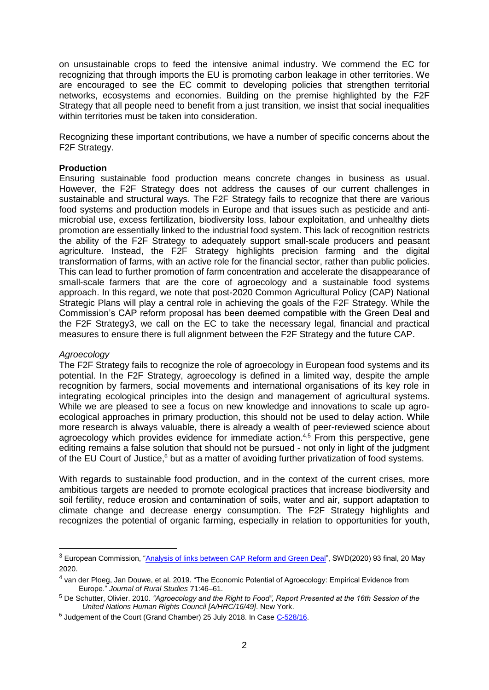on unsustainable crops to feed the intensive animal industry. We commend the EC for recognizing that through imports the EU is promoting carbon leakage in other territories. We are encouraged to see the EC commit to developing policies that strengthen territorial networks, ecosystems and economies. Building on the premise highlighted by the F2F Strategy that all people need to benefit from a just transition, we insist that social inequalities within territories must be taken into consideration.

Recognizing these important contributions, we have a number of specific concerns about the F2F Strategy.

# **Production**

Ensuring sustainable food production means concrete changes in business as usual. However, the F2F Strategy does not address the causes of our current challenges in sustainable and structural ways. The F2F Strategy fails to recognize that there are various food systems and production models in Europe and that issues such as pesticide and antimicrobial use, excess fertilization, biodiversity loss, labour exploitation, and unhealthy diets promotion are essentially linked to the industrial food system. This lack of recognition restricts the ability of the F2F Strategy to adequately support small-scale producers and peasant agriculture. Instead, the F2F Strategy highlights precision farming and the digital transformation of farms, with an active role for the financial sector, rather than public policies. This can lead to further promotion of farm concentration and accelerate the disappearance of small-scale farmers that are the core of agroecology and a sustainable food systems approach. In this regard, we note that post-2020 Common Agricultural Policy (CAP) National Strategic Plans will play a central role in achieving the goals of the F2F Strategy. While the Commission's CAP reform proposal has been deemed compatible with the Green Deal and the F2F Strategy3, we call on the EC to take the necessary legal, financial and practical measures to ensure there is full alignment between the F2F Strategy and the future CAP.

### *Agroecology*

-

The F2F Strategy fails to recognize the role of agroecology in European food systems and its potential. In the F2F Strategy, agroecology is defined in a limited way, despite the ample recognition by farmers, social movements and international organisations of its key role in integrating ecological principles into the design and management of agricultural systems. While we are pleased to see a focus on new knowledge and innovations to scale up agroecological approaches in primary production, this should not be used to delay action. While more research is always valuable, there is already a wealth of peer-reviewed science about agroecology which provides evidence for immediate action.<sup>4,5</sup> From this perspective, gene editing remains a false solution that should not be pursued - not only in light of the judgment of the EU Court of Justice,<sup>6</sup> but as a matter of avoiding further privatization of food systems.

With regards to sustainable food production, and in the context of the current crises, more ambitious targets are needed to promote ecological practices that increase biodiversity and soil fertility, reduce erosion and contamination of soils, water and air, support adaptation to climate change and decrease energy consumption. The F2F Strategy highlights and recognizes the potential of organic farming, especially in relation to opportunities for youth,

<sup>&</sup>lt;sup>3</sup> European Commission, ["Analysis of links between CAP Reform and Green Deal"](https://ec.europa.eu/info/sites/info/files/food-farming-fisheries/sustainability_and_natural_resources/documents/analysis-of-links-between-cap-and-green-deal_en.pdf), SWD(2020) 93 final, 20 May 2020.

<sup>&</sup>lt;sup>4</sup> van der Ploeg, Jan Douwe, et al. 2019. "The Economic Potential of Agroecology: Empirical Evidence from Europe." *Journal of Rural Studies* 71:46–61.

<sup>5</sup> De Schutter, Olivier. 2010. *"Agroecology and the Right to Food", Report Presented at the 16th Session of the United Nations Human Rights Council [A/HRC/16/49]*. New York.

<sup>&</sup>lt;sup>6</sup> Judgement of the Court (Grand Chamber) 25 July 2018. In Case [C-528/16.](http://curia.europa.eu/juris/document/document_print.jsf?docid=204387&text=&dir=&doclang=EN&part=1&occ=first&mode=req&pageIndex=1&cid=10029262)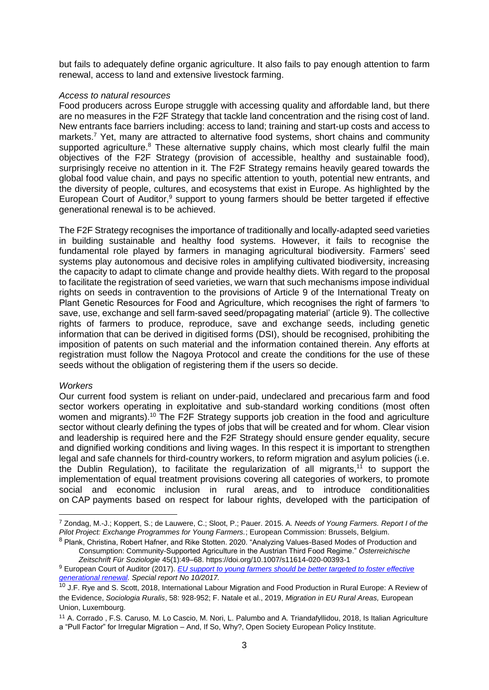but fails to adequately define organic agriculture. It also fails to pay enough attention to farm renewal, access to land and extensive livestock farming.

#### *Access to natural resources*

Food producers across Europe struggle with accessing quality and affordable land, but there are no measures in the F2F Strategy that tackle land concentration and the rising cost of land. New entrants face barriers including: access to land; training and start-up costs and access to markets.<sup>7</sup> Yet, many are attracted to alternative food systems, short chains and community supported agriculture.<sup>8</sup> These alternative supply chains, which most clearly fulfil the main objectives of the F2F Strategy (provision of accessible, healthy and sustainable food), surprisingly receive no attention in it. The F2F Strategy remains heavily geared towards the global food value chain, and pays no specific attention to youth, potential new entrants, and the diversity of people, cultures, and ecosystems that exist in Europe. As highlighted by the European Court of Auditor,<sup>9</sup> support to young farmers should be better targeted if effective generational renewal is to be achieved.

The F2F Strategy recognises the importance of traditionally and locally-adapted seed varieties in building sustainable and healthy food systems. However, it fails to recognise the fundamental role played by farmers in managing agricultural biodiversity. Farmers' seed systems play autonomous and decisive roles in amplifying cultivated biodiversity, increasing the capacity to adapt to climate change and provide healthy diets. With regard to the proposal to facilitate the registration of seed varieties, we warn that such mechanisms impose individual rights on seeds in contravention to the provisions of Article 9 of the International Treaty on Plant Genetic Resources for Food and Agriculture, which recognises the right of farmers 'to save, use, exchange and sell farm-saved seed/propagating material' (article 9). The collective rights of farmers to produce, reproduce, save and exchange seeds, including genetic information that can be derived in digitised forms (DSI), should be recognised, prohibiting the imposition of patents on such material and the information contained therein. Any efforts at registration must follow the Nagoya Protocol and create the conditions for the use of these seeds without the obligation of registering them if the users so decide.

### *Workers*

-

Our current food system is reliant on under-paid, undeclared and precarious farm and food sector workers operating in exploitative and sub-standard working conditions (most often women and migrants).<sup>10</sup> The F2F Strategy supports job creation in the food and agriculture sector without clearly defining the types of jobs that will be created and for whom. Clear vision and leadership is required here and the F2F Strategy should ensure gender equality, secure and dignified working conditions and living wages. In this respect it is important to strengthen legal and safe channels for third-country workers, to reform migration and asylum policies (i.e. the Dublin Regulation), to facilitate the regularization of all migrants,<sup>11</sup> to support the implementation of equal treatment provisions covering all categories of workers, to promote social and economic inclusion in rural areas, and to introduce conditionalities on CAP payments based on respect for labour rights, developed with the participation of

<sup>7</sup> Zondag, M.-J.; Koppert, S.; de Lauwere, C.; Sloot, P.; Pauer. 2015. A. *Needs of Young Farmers. Report I of the Pilot Project: Exchange Programmes for Young Farmers.*; European Commission: Brussels, Belgium.

<sup>8</sup> Plank, Christina, Robert Hafner, and Rike Stotten. 2020. "Analyzing Values-Based Modes of Production and Consumption: Community-Supported Agriculture in the Austrian Third Food Regime." *Österreichische Zeitschrift Für Soziologie* 45(1):49–68. https://doi.org/10.1007/s11614-020-00393-1

<sup>9</sup> European Court of Auditor (2017). *[EU support to young farmers should be better targeted to foster effective](https://www.eca.europa.eu/Lists/ECADocuments/SR17_10/SR_YOUNG_FARMERS_EN.pdf%20).)  [generational renewal.](https://www.eca.europa.eu/Lists/ECADocuments/SR17_10/SR_YOUNG_FARMERS_EN.pdf%20).) Special report No 10/2017.*

<sup>&</sup>lt;sup>10</sup> J.F. Rye and S. Scott, 2018, International Labour Migration and Food Production in Rural Europe: A Review of the Evidence, *Sociologia Ruralis*, 58: 928-952; F. Natale et al., 2019, *Migration in EU Rural Areas,* European Union, Luxembourg.

<sup>11</sup> A. Corrado , F.S. Caruso, M. Lo Cascio, M. Nori, L. Palumbo and A. Triandafyllidou, 2018, Is Italian Agriculture a "Pull Factor" for Irregular Migration – And, If So, Why?, Open Society European Policy Institute.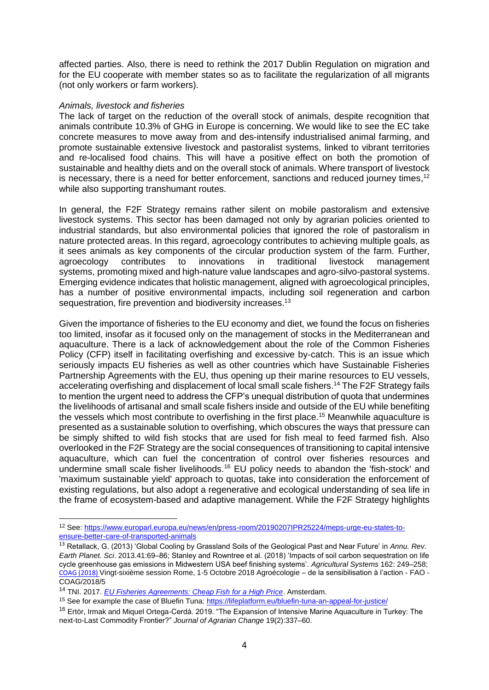affected parties. Also, there is need to rethink the 2017 Dublin Regulation on migration and for the EU cooperate with member states so as to facilitate the regularization of all migrants (not only workers or farm workers).

#### *Animals, livestock and fisheries*

-

The lack of target on the reduction of the overall stock of animals, despite recognition that animals contribute 10.3% of GHG in Europe is concerning. We would like to see the EC take concrete measures to move away from and des-intensify industrialised animal farming, and promote sustainable extensive livestock and pastoralist systems, linked to vibrant territories and re-localised food chains. This will have a positive effect on both the promotion of sustainable and healthy diets and on the overall stock of animals. Where transport of livestock is necessary, there is a need for better enforcement, sanctions and reduced journey times,<sup>12</sup> while also supporting transhumant routes.

In general, the F2F Strategy remains rather silent on mobile pastoralism and extensive livestock systems. This sector has been damaged not only by agrarian policies oriented to industrial standards, but also environmental policies that ignored the role of pastoralism in nature protected areas. In this regard, agroecology contributes to achieving multiple goals, as it sees animals as key components of the circular production system of the farm. Further, agroecology contributes to innovations in traditional livestock management systems, promoting mixed and high-nature value landscapes and agro-silvo-pastoral systems. Emerging evidence indicates that holistic management, aligned with agroecological principles, has a number of positive environmental impacts, including soil regeneration and carbon sequestration, fire prevention and biodiversity increases.<sup>13</sup>

Given the importance of fisheries to the EU economy and diet, we found the focus on fisheries too limited, insofar as it focused only on the management of stocks in the Mediterranean and aquaculture. There is a lack of acknowledgement about the role of the Common Fisheries Policy (CFP) itself in facilitating overfishing and excessive by-catch. This is an issue which seriously impacts EU fisheries as well as other countries which have Sustainable Fisheries Partnership Agreements with the EU, thus opening up their marine resources to EU vessels, accelerating overfishing and displacement of local small scale fishers.<sup>14</sup> The F2F Strategy fails to mention the urgent need to address the CFP's unequal distribution of quota that undermines the livelihoods of artisanal and small scale fishers inside and outside of the EU while benefiting the vessels which most contribute to overfishing in the first place.<sup>15</sup> Meanwhile aquaculture is presented as a sustainable solution to overfishing, which obscures the ways that pressure can be simply shifted to wild fish stocks that are used for fish meal to feed farmed fish. Also overlooked in the F2F Strategy are the social consequences of transitioning to capital intensive aquaculture, which can fuel the concentration of control over fisheries resources and undermine small scale fisher livelihoods.<sup>16</sup> EU policy needs to abandon the 'fish-stock' and 'maximum sustainable yield' approach to quotas, take into consideration the enforcement of existing regulations, but also adopt a regenerative and ecological understanding of sea life in the frame of ecosystem-based and adaptive management. While the F2F Strategy highlights

<sup>12</sup> See[: https://www.europarl.europa.eu/news/en/press-room/20190207IPR25224/meps-urge-eu-states-to](https://www.europarl.europa.eu/news/en/press-room/20190207IPR25224/meps-urge-eu-states-to-ensure-better-care-of-transported-animals)[ensure-better-care-of-transported-animals](https://www.europarl.europa.eu/news/en/press-room/20190207IPR25224/meps-urge-eu-states-to-ensure-better-care-of-transported-animals)

<sup>13</sup> Retallack, G. (2013) 'Global Cooling by Grassland Soils of the Geological Past and Near Future' in *Annu. Rev. Earth Planet. Sci*. 2013.41:69–86; Stanley and Rowntree et al. (2018) 'Impacts of soil carbon sequestration on life cycle greenhouse gas emissions in Midwestern USA beef finishing systems'. *Agricultural Systems* 162: 249–258; [COAG \(2018\)](http://www.fao.org/3/mx090fr/mx090fr.pdf) Vingt-sixième session Rome, 1-5 Octobre 2018 Agroécologie – de la sensibilisation à l'action - FAO - COAG/2018/5

<sup>14</sup> TNI. 2017. *[EU Fisheries Agreements: Cheap Fish for a High Price](https://www.tni.org/files/publication-downloads/tni_eu_fisheries_agreements_en.pdf)*. Amsterdam.

<sup>&</sup>lt;sup>15</sup> See for example the case of Bluefin Tuna:<https://lifeplatform.eu/bluefin-tuna-an-appeal-for-justice/>

<sup>&</sup>lt;sup>16</sup> Ertör, Irmak and Miquel Ortega-Cerdà. 2019. "The Expansion of Intensive Marine Aquaculture in Turkey: The next-to-Last Commodity Frontier?" *Journal of Agrarian Change* 19(2):337–60.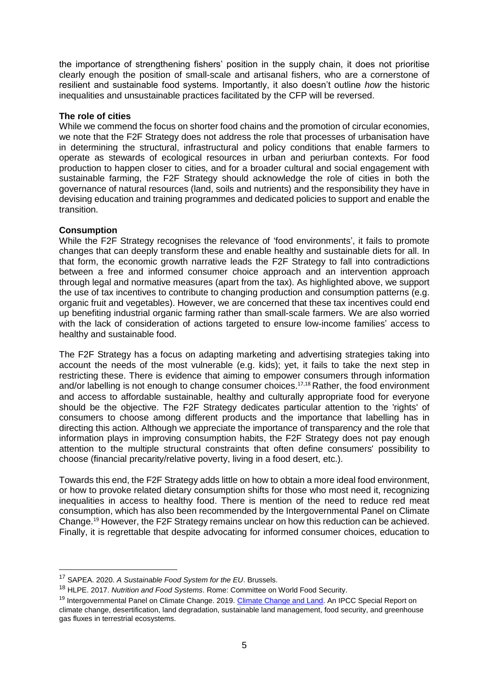the importance of strengthening fishers' position in the supply chain, it does not prioritise clearly enough the position of small-scale and artisanal fishers, who are a cornerstone of resilient and sustainable food systems. Importantly, it also doesn't outline *how* the historic inequalities and unsustainable practices facilitated by the CFP will be reversed.

## **The role of cities**

While we commend the focus on shorter food chains and the promotion of circular economies, we note that the F2F Strategy does not address the role that processes of urbanisation have in determining the structural, infrastructural and policy conditions that enable farmers to operate as stewards of ecological resources in urban and periurban contexts. For food production to happen closer to cities, and for a broader cultural and social engagement with sustainable farming, the F2F Strategy should acknowledge the role of cities in both the governance of natural resources (land, soils and nutrients) and the responsibility they have in devising education and training programmes and dedicated policies to support and enable the transition.

## **Consumption**

-

While the F2F Strategy recognises the relevance of 'food environments', it fails to promote changes that can deeply transform these and enable healthy and sustainable diets for all. In that form, the economic growth narrative leads the F2F Strategy to fall into contradictions between a free and informed consumer choice approach and an intervention approach through legal and normative measures (apart from the tax). As highlighted above, we support the use of tax incentives to contribute to changing production and consumption patterns (e.g. organic fruit and vegetables). However, we are concerned that these tax incentives could end up benefiting industrial organic farming rather than small-scale farmers. We are also worried with the lack of consideration of actions targeted to ensure low-income families' access to healthy and sustainable food.

The F2F Strategy has a focus on adapting marketing and advertising strategies taking into account the needs of the most vulnerable (e.g. kids); yet, it fails to take the next step in restricting these. There is evidence that aiming to empower consumers through information and/or labelling is not enough to change consumer choices.<sup>17,18</sup> Rather, the food environment and access to affordable sustainable, healthy and culturally appropriate food for everyone should be the objective. The F2F Strategy dedicates particular attention to the 'rights' of consumers to choose among different products and the importance that labelling has in directing this action. Although we appreciate the importance of transparency and the role that information plays in improving consumption habits, the F2F Strategy does not pay enough attention to the multiple structural constraints that often define consumers' possibility to choose (financial precarity/relative poverty, living in a food desert, etc.).

Towards this end, the F2F Strategy adds little on how to obtain a more ideal food environment, or how to provoke related dietary consumption shifts for those who most need it, recognizing inequalities in access to healthy food. There is mention of the need to reduce red meat consumption, which has also been recommended by the Intergovernmental Panel on Climate Change.<sup>19</sup> However, the F2F Strategy remains unclear on how this reduction can be achieved. Finally, it is regrettable that despite advocating for informed consumer choices, education to

<sup>17</sup> SAPEA. 2020. *A Sustainable Food System for the EU*. Brussels.

<sup>18</sup> HLPE. 2017. *Nutrition and Food Systems*. Rome: Committee on World Food Security.

<sup>&</sup>lt;sup>19</sup> Intergovernmental Panel on Climate Change. 2019. [Climate Change and Land.](https://www.ipcc.ch/site/assets/uploads/sites/4/2020/02/SRCCL-Complete-BOOK-LRES.pdf) An IPCC Special Report on climate change, desertification, land degradation, sustainable land management, food security, and greenhouse gas fluxes in terrestrial ecosystems.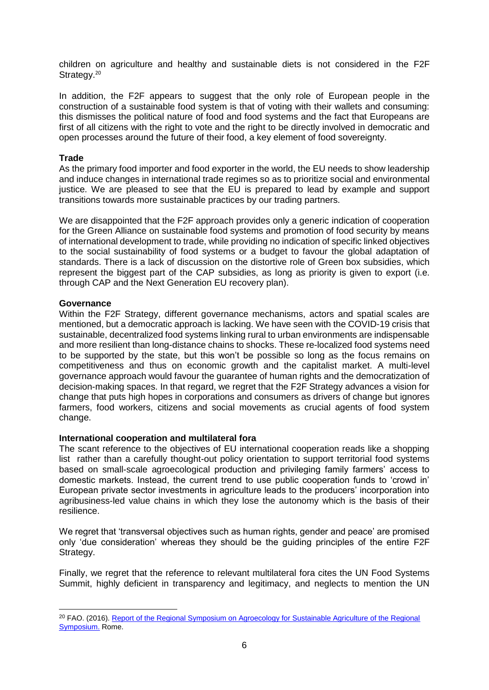children on agriculture and healthy and sustainable diets is not considered in the F2F Strategy.<sup>20</sup>

In addition, the F2F appears to suggest that the only role of European people in the construction of a sustainable food system is that of voting with their wallets and consuming: this dismisses the political nature of food and food systems and the fact that Europeans are first of all citizens with the right to vote and the right to be directly involved in democratic and open processes around the future of their food, a key element of food sovereignty.

# **Trade**

As the primary food importer and food exporter in the world, the EU needs to show leadership and induce changes in international trade regimes so as to prioritize social and environmental justice. We are pleased to see that the EU is prepared to lead by example and support transitions towards more sustainable practices by our trading partners.

We are disappointed that the F2F approach provides only a generic indication of cooperation for the Green Alliance on sustainable food systems and promotion of food security by means of international development to trade, while providing no indication of specific linked objectives to the social sustainability of food systems or a budget to favour the global adaptation of standards. There is a lack of discussion on the distortive role of Green box subsidies, which represent the biggest part of the CAP subsidies, as long as priority is given to export (i.e. through CAP and the Next Generation EU recovery plan).

## **Governance**

-

Within the F2F Strategy, different governance mechanisms, actors and spatial scales are mentioned, but a democratic approach is lacking. We have seen with the COVID-19 crisis that sustainable, decentralized food systems linking rural to urban environments are indispensable and more resilient than long-distance chains to shocks. These re-localized food systems need to be supported by the state, but this won't be possible so long as the focus remains on competitiveness and thus on economic growth and the capitalist market. A multi-level governance approach would favour the guarantee of human rights and the democratization of decision-making spaces. In that regard, we regret that the F2F Strategy advances a vision for change that puts high hopes in corporations and consumers as drivers of change but ignores farmers, food workers, citizens and social movements as crucial agents of food system change.

### **International cooperation and multilateral fora**

The scant reference to the objectives of EU international cooperation reads like a shopping list rather than a carefully thought-out policy orientation to support territorial food systems based on small-scale agroecological production and privileging family farmers' access to domestic markets. Instead, the current trend to use public cooperation funds to 'crowd in' European private sector investments in agriculture leads to the producers' incorporation into agribusiness-led value chains in which they lose the autonomy which is the basis of their resilience.

We regret that 'transversal objectives such as human rights, gender and peace' are promised only 'due consideration' whereas they should be the guiding principles of the entire F2F Strategy.

Finally, we regret that the reference to relevant multilateral fora cites the UN Food Systems Summit, highly deficient in transparency and legitimacy, and neglects to mention the UN

<sup>&</sup>lt;sup>20</sup> FAO. (2016). Report of the Regional Symposium on Agroecology for Sustainable Agriculture of the Regional [Symposium.](http://www.fao.org/3/a-i7604e.pdf) Rome.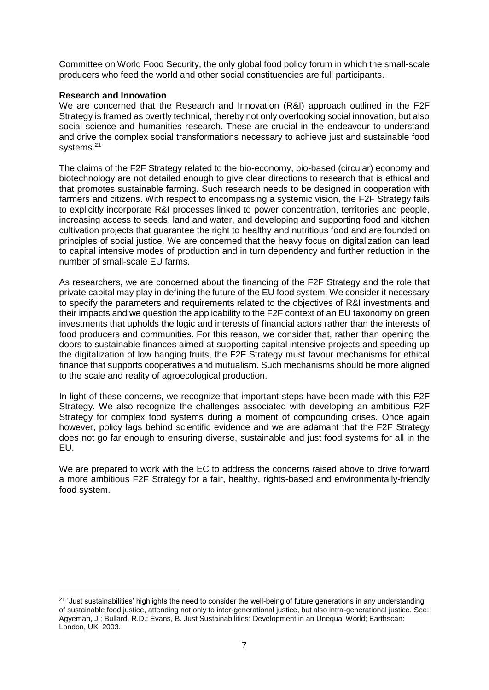Committee on World Food Security, the only global food policy forum in which the small-scale producers who feed the world and other social constituencies are full participants.

## **Research and Innovation**

-

We are concerned that the Research and Innovation (R&I) approach outlined in the F2F Strategy is framed as overtly technical, thereby not only overlooking social innovation, but also social science and humanities research. These are crucial in the endeavour to understand and drive the complex social transformations necessary to achieve just and sustainable food systems.<sup>21</sup>

The claims of the F2F Strategy related to the bio-economy, bio-based (circular) economy and biotechnology are not detailed enough to give clear directions to research that is ethical and that promotes sustainable farming. Such research needs to be designed in cooperation with farmers and citizens. With respect to encompassing a systemic vision, the F2F Strategy fails to explicitly incorporate R&I processes linked to power concentration, territories and people, increasing access to seeds, land and water, and developing and supporting food and kitchen cultivation projects that guarantee the right to healthy and nutritious food and are founded on principles of social justice. We are concerned that the heavy focus on digitalization can lead to capital intensive modes of production and in turn dependency and further reduction in the number of small-scale EU farms.

As researchers, we are concerned about the financing of the F2F Strategy and the role that private capital may play in defining the future of the EU food system. We consider it necessary to specify the parameters and requirements related to the objectives of R&I investments and their impacts and we question the applicability to the F2F context of an EU taxonomy on green investments that upholds the logic and interests of financial actors rather than the interests of food producers and communities. For this reason, we consider that, rather than opening the doors to sustainable finances aimed at supporting capital intensive projects and speeding up the digitalization of low hanging fruits, the F2F Strategy must favour mechanisms for ethical finance that supports cooperatives and mutualism. Such mechanisms should be more aligned to the scale and reality of agroecological production.

In light of these concerns, we recognize that important steps have been made with this F2F Strategy. We also recognize the challenges associated with developing an ambitious F2F Strategy for complex food systems during a moment of compounding crises. Once again however, policy lags behind scientific evidence and we are adamant that the F2F Strategy does not go far enough to ensuring diverse, sustainable and just food systems for all in the EU.

We are prepared to work with the EC to address the concerns raised above to drive forward a more ambitious F2F Strategy for a fair, healthy, rights-based and environmentally-friendly food system.

<sup>&</sup>lt;sup>21</sup> 'Just sustainabilities' highlights the need to consider the well-being of future generations in any understanding of sustainable food justice, attending not only to inter-generational justice, but also intra-generational justice. See: Agyeman, J.; Bullard, R.D.; Evans, B. Just Sustainabilities: Development in an Unequal World; Earthscan: London, UK, 2003.